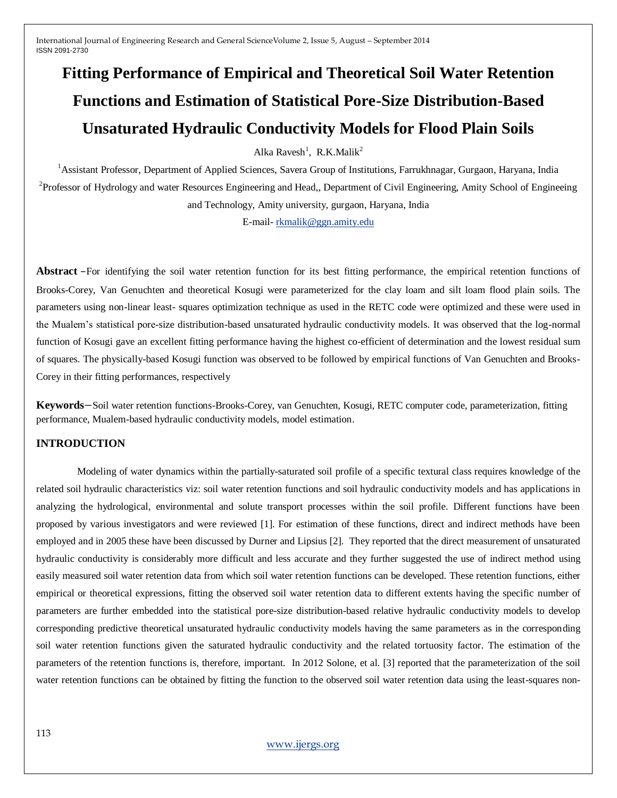# **Fitting Performance of Empirical and Theoretical Soil Water Retention Functions and Estimation of Statistical Pore-Size Distribution-Based Unsaturated Hydraulic Conductivity Models for Flood Plain Soils**

Alka Ravesh<sup>1</sup>, R.K.Malik<sup>2</sup>

<sup>1</sup>Assistant Professor, Department of Applied Sciences, Savera Group of Institutions, Farrukhnagar, Gurgaon, Haryana, India <sup>2</sup>Professor of Hydrology and water Resources Engineering and Head,, Department of Civil Engineering, Amity School of Engineeing and Technology, Amity university, gurgaon, Haryana, India

E-mail- [rkmalik@ggn.amity.edu](mailto:rkmalik@ggn.amity.edu)

**Abstract** –For identifying the soil water retention function for its best fitting performance, the empirical retention functions of Brooks-Corey, Van Genuchten and theoretical Kosugi were parameterized for the clay loam and silt loam flood plain soils. The parameters using non-linear least- squares optimization technique as used in the RETC code were optimized and these were used in the Mualem"s statistical pore-size distribution-based unsaturated hydraulic conductivity models. It was observed that the log-normal function of Kosugi gave an excellent fitting performance having the highest co-efficient of determination and the lowest residual sum of squares. The physically-based Kosugi function was observed to be followed by empirical functions of Van Genuchten and Brooks-Corey in their fitting performances, respectively

**Keywords**−Soil water retention functions-Brooks-Corey, van Genuchten, Kosugi, RETC computer code, parameterization, fitting performance, Mualem-based hydraulic conductivity models, model estimation.

# **INTRODUCTION**

Modeling of water dynamics within the partially-saturated soil profile of a specific textural class requires knowledge of the related soil hydraulic characteristics viz: soil water retention functions and soil hydraulic conductivity models and has applications in analyzing the hydrological, environmental and solute transport processes within the soil profile. Different functions have been proposed by various investigators and were reviewed [1]. For estimation of these functions, direct and indirect methods have been employed and in 2005 these have been discussed by Durner and Lipsius [2]. They reported that the direct measurement of unsaturated hydraulic conductivity is considerably more difficult and less accurate and they further suggested the use of indirect method using easily measured soil water retention data from which soil water retention functions can be developed. These retention functions, either empirical or theoretical expressions, fitting the observed soil water retention data to different extents having the specific number of parameters are further embedded into the statistical pore-size distribution-based relative hydraulic conductivity models to develop corresponding predictive theoretical unsaturated hydraulic conductivity models having the same parameters as in the corresponding soil water retention functions given the saturated hydraulic conductivity and the related tortuosity factor. The estimation of the parameters of the retention functions is, therefore, important. In 2012 Solone, et al. [3] reported that the parameterization of the soil water retention functions can be obtained by fitting the function to the observed soil water retention data using the least-squares non-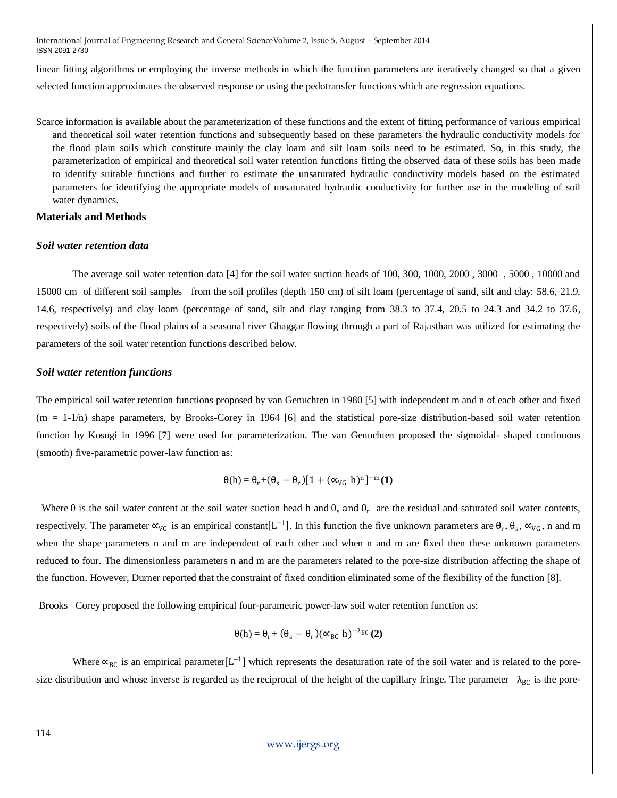linear fitting algorithms or employing the inverse methods in which the function parameters are iteratively changed so that a given selected function approximates the observed response or using the pedotransfer functions which are regression equations.

Scarce information is available about the parameterization of these functions and the extent of fitting performance of various empirical and theoretical soil water retention functions and subsequently based on these parameters the hydraulic conductivity models for the flood plain soils which constitute mainly the clay loam and silt loam soils need to be estimated. So, in this study, the parameterization of empirical and theoretical soil water retention functions fitting the observed data of these soils has been made to identify suitable functions and further to estimate the unsaturated hydraulic conductivity models based on the estimated parameters for identifying the appropriate models of unsaturated hydraulic conductivity for further use in the modeling of soil water dynamics.

# **Materials and Methods**

#### *Soil water retention data*

The average soil water retention data [4] for the soil water suction heads of 100, 300, 1000, 2000 , 3000 , 5000 , 10000 and 15000 cm of different soil samples from the soil profiles (depth 150 cm) of silt loam (percentage of sand, silt and clay: 58.6, 21.9, 14.6, respectively) and clay loam (percentage of sand, silt and clay ranging from 38.3 to 37.4, 20.5 to 24.3 and 34.2 to 37.6, respectively) soils of the flood plains of a seasonal river Ghaggar flowing through a part of Rajasthan was utilized for estimating the parameters of the soil water retention functions described below.

#### *Soil water retention functions*

The empirical soil water retention functions proposed by van Genuchten in 1980 [5] with independent m and n of each other and fixed  $(m = 1-1/n)$  shape parameters, by Brooks-Corey in 1964 [6] and the statistical pore-size distribution-based soil water retention function by Kosugi in 1996 [7] were used for parameterization. The van Genuchten proposed the sigmoidal- shaped continuous (smooth) five-parametric power-law function as:

$$
\theta(h) = \theta_r + (\theta_s - \theta_r)[1 + (\alpha_{VG} h)^n]^{-m}(1)
$$

Where  $\theta$  is the soil water content at the soil water suction head h and  $\theta_s$  and  $\theta_r$  are the residual and saturated soil water contents, respectively. The parameter  $\alpha_{VG}$  is an empirical constant [L<sup>-1</sup>]. In this function the five unknown parameters are  $\theta_r$ ,  $\theta_s$ ,  $\alpha_{VG}$ , n and m when the shape parameters n and m are independent of each other and when n and m are fixed then these unknown parameters reduced to four. The dimensionless parameters n and m are the parameters related to the pore-size distribution affecting the shape of the function. However, Durner reported that the constraint of fixed condition eliminated some of the flexibility of the function [8].

Brooks –Corey proposed the following empirical four-parametric power-law soil water retention function as:

$$
\theta(h) = \theta_r + (\theta_s - \theta_r)(\alpha_{BC} h)^{-\lambda_{BC}}(2)
$$

Where  $\alpha_{BC}$  is an empirical parameter [L<sup>-1</sup>] which represents the desaturation rate of the soil water and is related to the poresize distribution and whose inverse is regarded as the reciprocal of the height of the capillary fringe. The parameter  $\lambda_{BC}$  is the pore-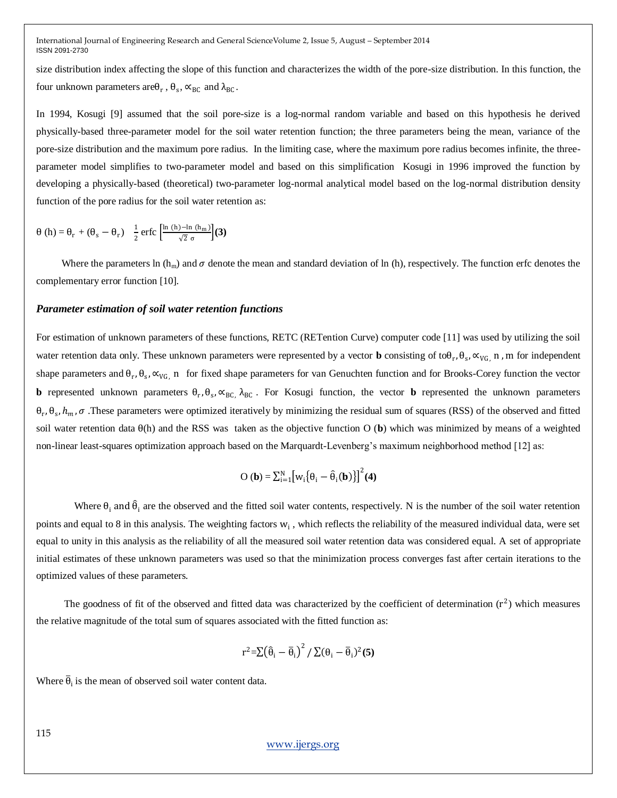size distribution index affecting the slope of this function and characterizes the width of the pore-size distribution. In this function, the four unknown parameters are $\theta_r$ ,  $\theta_s$ ,  $\alpha_{BC}$  and  $\lambda_{BC}$ .

In 1994, Kosugi [9] assumed that the soil pore-size is a log-normal random variable and based on this hypothesis he derived physically-based three-parameter model for the soil water retention function; the three parameters being the mean, variance of the pore-size distribution and the maximum pore radius. In the limiting case, where the maximum pore radius becomes infinite, the threeparameter model simplifies to two-parameter model and based on this simplification Kosugi in 1996 improved the function by developing a physically-based (theoretical) two-parameter log-normal analytical model based on the log-normal distribution density function of the pore radius for the soil water retention as:

$$
\theta \left( h \right) = \theta_{r} + \left( \theta_{s} - \theta_{r} \right) \frac{1}{2} \operatorname{erfc} \left[ \frac{\ln \left( h \right) - \ln \left( h_{m} \right)}{\sqrt{2} \sigma} \right] \tag{3}
$$

Where the parameters ln (h<sub>m</sub>) and  $\sigma$  denote the mean and standard deviation of ln (h), respectively. The function erfc denotes the complementary error function [10].

#### *Parameter estimation of soil water retention functions*

For estimation of unknown parameters of these functions, RETC (RETention Curve) computer code [11] was used by utilizing the soil water retention data only. These unknown parameters were represented by a vector **b** consisting of toθ<sub>r</sub>, θ<sub>s</sub>, ∝<sub>VG,</sub> n, m for independent shape parameters and  $\theta_r$ ,  $\theta_s$ ,  $\alpha_{VG}$ , n for fixed shape parameters for van Genuchten function and for Brooks-Corey function the vector **b** represented unknown parameters  $\theta_r$ ,  $\theta_s$ ,  $\alpha_{BC}$ ,  $\lambda_{BC}$ . For Kosugi function, the vector **b** represented the unknown parameters  $\theta_r$ ,  $\theta_s$ ,  $h_m$ ,  $\sigma$ . These parameters were optimized iteratively by minimizing the residual sum of squares (RSS) of the observed and fitted soil water retention data θ(h) and the RSS was taken as the objective function O (**b**) which was minimized by means of a weighted non-linear least-squares optimization approach based on the Marquardt-Levenberg"s maximum neighborhood method [12] as:

$$
O(\mathbf{b}) = \sum_{i=1}^{N} \left[ w_i \{ \theta_i - \hat{\theta}_i(\mathbf{b}) \} \right]^2 (4)
$$

Where  $\theta_i$  and  $\hat{\theta}_i$  are the observed and the fitted soil water contents, respectively. N is the number of the soil water retention points and equal to 8 in this analysis. The weighting factors  $w_i$ , which reflects the reliability of the measured individual data, were set equal to unity in this analysis as the reliability of all the measured soil water retention data was considered equal. A set of appropriate initial estimates of these unknown parameters was used so that the minimization process converges fast after certain iterations to the optimized values of these parameters.

The goodness of fit of the observed and fitted data was characterized by the coefficient of determination  $(r^2)$  which measures the relative magnitude of the total sum of squares associated with the fitted function as:

$$
r^2 = \sum (\widehat{\theta}_i - \overline{\theta}_i)^2 / \sum (\theta_i - \overline{\theta}_i)^2 (5)
$$

Where  $\overline{\theta}_i$  is the mean of observed soil water content data.

[www.ijergs.org](http://www.ijergs.org/)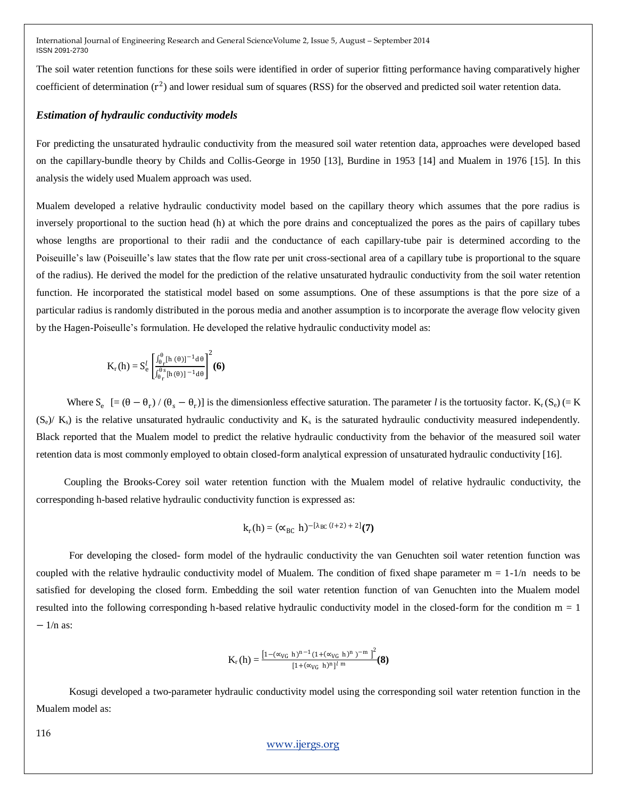The soil water retention functions for these soils were identified in order of superior fitting performance having comparatively higher coefficient of determination  $(r^2)$  and lower residual sum of squares (RSS) for the observed and predicted soil water retention data.

#### *Estimation of hydraulic conductivity models*

For predicting the unsaturated hydraulic conductivity from the measured soil water retention data, approaches were developed based on the capillary-bundle theory by Childs and Collis-George in 1950 [13], Burdine in 1953 [14] and Mualem in 1976 [15]. In this analysis the widely used Mualem approach was used.

Mualem developed a relative hydraulic conductivity model based on the capillary theory which assumes that the pore radius is inversely proportional to the suction head (h) at which the pore drains and conceptualized the pores as the pairs of capillary tubes whose lengths are proportional to their radii and the conductance of each capillary-tube pair is determined according to the Poiseuille"s law (Poiseuille"s law states that the flow rate per unit cross-sectional area of a capillary tube is proportional to the square of the radius). He derived the model for the prediction of the relative unsaturated hydraulic conductivity from the soil water retention function. He incorporated the statistical model based on some assumptions. One of these assumptions is that the pore size of a particular radius is randomly distributed in the porous media and another assumption is to incorporate the average flow velocity given by the Hagen-Poiseulle"s formulation. He developed the relative hydraulic conductivity model as:

$$
K_{r}(h) = S_{e}^{l} \left[ \frac{\int_{\theta_{r}}^{\theta}[h(\theta)]^{-1} d\theta}{\int_{\theta_{r}}^{\theta_{s}}[h(\theta)]^{-1} d\theta} \right]^{2}(\mathbf{6})
$$

Where  $S_e$  [=  $(\theta - \theta_r) / (\theta_s - \theta_r)$ ] is the dimensionless effective saturation. The parameter *l* is the tortuosity factor. K<sub>r</sub> (S<sub>e</sub>) (= K  $(S_e)/K_s$ ) is the relative unsaturated hydraulic conductivity and  $K_s$  is the saturated hydraulic conductivity measured independently. Black reported that the Mualem model to predict the relative hydraulic conductivity from the behavior of the measured soil water retention data is most commonly employed to obtain closed-form analytical expression of unsaturated hydraulic conductivity [16].

 Coupling the Brooks-Corey soil water retention function with the Mualem model of relative hydraulic conductivity, the corresponding h-based relative hydraulic conductivity function is expressed as:

$$
k_r(h) = (\alpha_{BC} h)^{-[\lambda_{BC}(l+2)+2]}(7)
$$

 For developing the closed- form model of the hydraulic conductivity the van Genuchten soil water retention function was coupled with the relative hydraulic conductivity model of Mualem. The condition of fixed shape parameter  $m = 1-1/n$  needs to be satisfied for developing the closed form. Embedding the soil water retention function of van Genuchten into the Mualem model resulted into the following corresponding h-based relative hydraulic conductivity model in the closed-form for the condition  $m = 1$  $-1/n$  as:

$$
K_{\rm r}\left(h\right)=\frac{\left[1-(\alpha_{VG}~h)^{n-1}(1+(\alpha_{VG}~h)^n~)^{-m}~\right]^2}{[1+(\alpha_{VG}~h)^n]^l~^m}(\boldsymbol{8})
$$

 Kosugi developed a two-parameter hydraulic conductivity model using the corresponding soil water retention function in the Mualem model as:

[www.ijergs.org](http://www.ijergs.org/)

116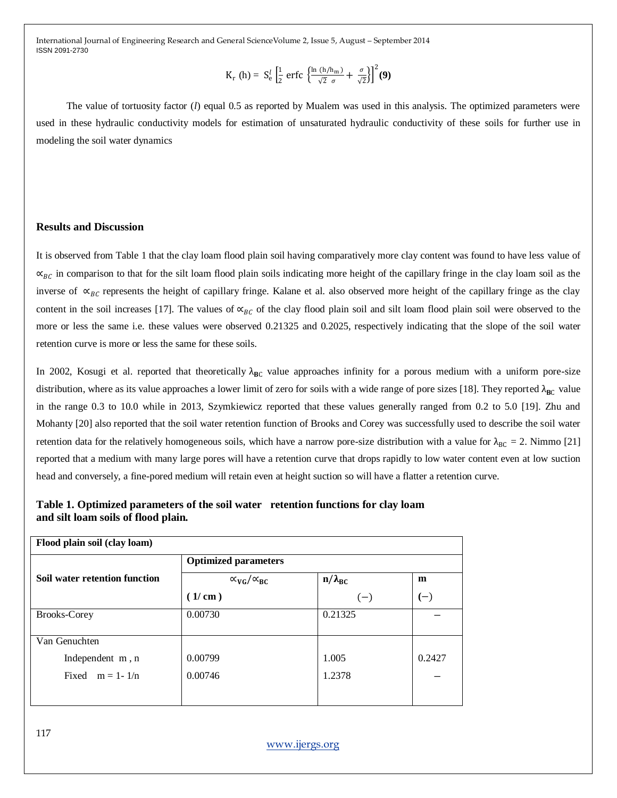$$
K_{r} \text{ (h)} = S_{e}^{l} \left[ \frac{1}{2} \text{ erfc} \left\{ \frac{\ln \left( h/h_{m} \right)}{\sqrt{2} \sigma} + \frac{\sigma}{\sqrt{2}} \right\} \right]^{2} (\mathbf{9})
$$

 The value of tortuosity factor (*l*) equal 0.5 as reported by Mualem was used in this analysis. The optimized parameters were used in these hydraulic conductivity models for estimation of unsaturated hydraulic conductivity of these soils for further use in modeling the soil water dynamics

## **Results and Discussion**

It is observed from Table 1 that the clay loam flood plain soil having comparatively more clay content was found to have less value of  $\alpha_{BC}$  in comparison to that for the silt loam flood plain soils indicating more height of the capillary fringe in the clay loam soil as the inverse of  $\propto_{BC}$  represents the height of capillary fringe. Kalane et al. also observed more height of the capillary fringe as the clay content in the soil increases [17]. The values of  $\alpha_{BC}$  of the clay flood plain soil and silt loam flood plain soil were observed to the more or less the same i.e. these values were observed 0.21325 and 0.2025, respectively indicating that the slope of the soil water retention curve is more or less the same for these soils.

In 2002, Kosugi et al. reported that theoretically  $\lambda_{BC}$  value approaches infinity for a porous medium with a uniform pore-size distribution, where as its value approaches a lower limit of zero for soils with a wide range of pore sizes [18]. They reported  $\lambda_{BC}$  value in the range 0.3 to 10.0 while in 2013, Szymkiewicz reported that these values generally ranged from 0.2 to 5.0 [19]. Zhu and Mohanty [20] also reported that the soil water retention function of Brooks and Corey was successfully used to describe the soil water retention data for the relatively homogeneous soils, which have a narrow pore-size distribution with a value for  $\lambda_{BC} = 2$ . Nimmo [21] reported that a medium with many large pores will have a retention curve that drops rapidly to low water content even at low suction head and conversely, a fine-pored medium will retain even at height suction so will have a flatter a retention curve.

# **Table 1. Optimized parameters of the soil water retention functions for clay loam and silt loam soils of flood plain.**

| Flood plain soil (clay loam)  |                                   |                  |        |  |
|-------------------------------|-----------------------------------|------------------|--------|--|
|                               | <b>Optimized parameters</b>       |                  |        |  |
| Soil water retention function | $\alpha_{\rm VG}/\alpha_{\rm BC}$ | $n/\lambda_{BC}$ | m      |  |
|                               | (1/cm)                            | $(-)$            | $(-)$  |  |
| <b>Brooks-Corey</b>           | 0.00730                           | 0.21325          |        |  |
|                               |                                   |                  |        |  |
| Van Genuchten                 |                                   |                  |        |  |
| Independent m, n              | 0.00799                           | 1.005            | 0.2427 |  |
| Fixed $m = 1 - 1/n$           | 0.00746                           | 1.2378           |        |  |
|                               |                                   |                  |        |  |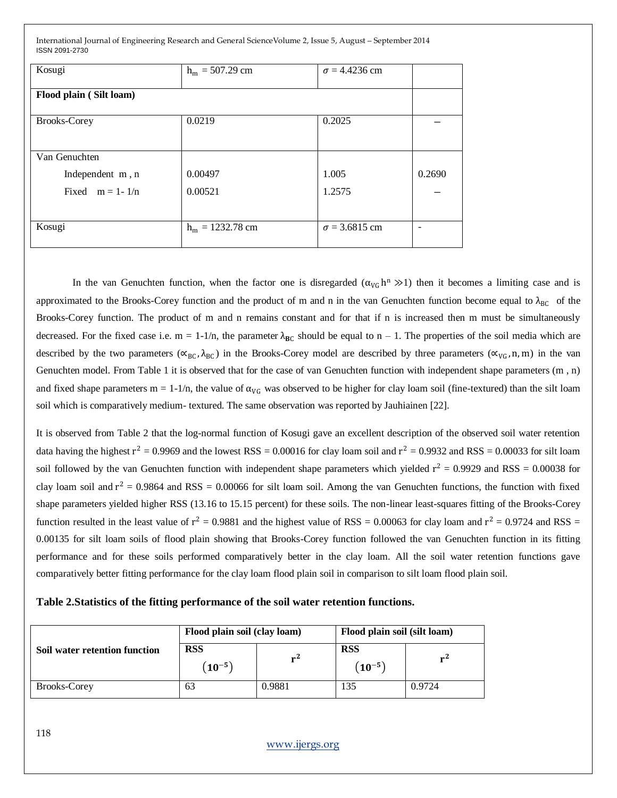| Kosugi                  |                    | $\sigma = 4.4236$ cm |        |
|-------------------------|--------------------|----------------------|--------|
|                         | $h_m = 507.29$ cm  |                      |        |
|                         |                    |                      |        |
| Flood plain (Silt loam) |                    |                      |        |
|                         |                    |                      |        |
| <b>Brooks-Corey</b>     | 0.0219             | 0.2025               |        |
|                         |                    |                      |        |
|                         |                    |                      |        |
| Van Genuchten           |                    |                      |        |
| Independent m, n        | 0.00497            | 1.005                | 0.2690 |
| Fixed $m = 1 - 1/n$     | 0.00521            | 1.2575               |        |
|                         |                    |                      |        |
|                         |                    |                      |        |
| Kosugi                  | $h_m = 1232.78$ cm | $\sigma = 3.6815$ cm |        |
|                         |                    |                      |        |
|                         |                    |                      |        |

In the van Genuchten function, when the factor one is disregarded  $(\alpha_{VG} h^n \gg 1)$  then it becomes a limiting case and is approximated to the Brooks-Corey function and the product of m and n in the van Genuchten function become equal to  $\lambda_{BC}$  of the Brooks-Corey function. The product of m and n remains constant and for that if n is increased then m must be simultaneously decreased. For the fixed case i.e.  $m = 1-1/n$ , the parameter  $\lambda_{BC}$  should be equal to  $n - 1$ . The properties of the soil media which are described by the two parameters ( $\alpha_{BC}$ ,  $\lambda_{BC}$ ) in the Brooks-Corey model are described by three parameters ( $\alpha_{VG}$ , n, m) in the van Genuchten model. From Table 1 it is observed that for the case of van Genuchten function with independent shape parameters (m , n) and fixed shape parameters  $m = 1-1/n$ , the value of  $\alpha_{VG}$  was observed to be higher for clay loam soil (fine-textured) than the silt loam soil which is comparatively medium- textured. The same observation was reported by Jauhiainen [22].

It is observed from Table 2 that the log-normal function of Kosugi gave an excellent description of the observed soil water retention data having the highest  $r^2 = 0.9969$  and the lowest RSS = 0.00016 for clay loam soil and  $r^2 = 0.9932$  and RSS = 0.00033 for silt loam soil followed by the van Genuchten function with independent shape parameters which yielded  $r^2 = 0.9929$  and RSS = 0.00038 for clay loam soil and  $r^2 = 0.9864$  and RSS = 0.00066 for silt loam soil. Among the van Genuchten functions, the function with fixed shape parameters yielded higher RSS (13.16 to 15.15 percent) for these soils. The non-linear least-squares fitting of the Brooks-Corey function resulted in the least value of  $r^2 = 0.9881$  and the highest value of RSS = 0.00063 for clay loam and  $r^2 = 0.9724$  and RSS = 0.00135 for silt loam soils of flood plain showing that Brooks-Corey function followed the van Genuchten function in its fitting performance and for these soils performed comparatively better in the clay loam. All the soil water retention functions gave comparatively better fitting performance for the clay loam flood plain soil in comparison to silt loam flood plain soil.

### **Table 2.Statistics of the fitting performance of the soil water retention functions.**

|                               | Flood plain soil (clay loam) |        | Flood plain soil (silt loam) |        |
|-------------------------------|------------------------------|--------|------------------------------|--------|
| Soil water retention function | <b>RSS</b><br>$(10^{-5})$    | $r^2$  | <b>RSS</b><br>$(10^{-5})$    | $r^2$  |
| <b>Brooks-Corey</b>           | 63                           | 0.9881 | 135                          | 0.9724 |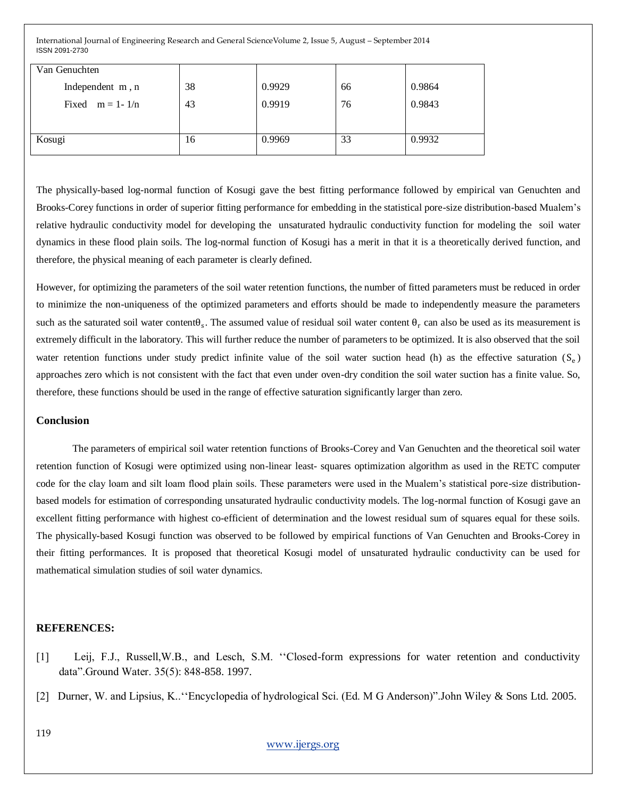| Van Genuchten       |    |        |    |        |
|---------------------|----|--------|----|--------|
| Independent m, n    | 38 | 0.9929 | 66 | 0.9864 |
| Fixed $m = 1 - 1/n$ | 43 | 0.9919 | 76 | 0.9843 |
|                     |    |        |    |        |
| Kosugi              | 16 | 0.9969 | 33 | 0.9932 |

The physically-based log-normal function of Kosugi gave the best fitting performance followed by empirical van Genuchten and Brooks-Corey functions in order of superior fitting performance for embedding in the statistical pore-size distribution-based Mualem"s relative hydraulic conductivity model for developing the unsaturated hydraulic conductivity function for modeling the soil water dynamics in these flood plain soils. The log-normal function of Kosugi has a merit in that it is a theoretically derived function, and therefore, the physical meaning of each parameter is clearly defined.

However, for optimizing the parameters of the soil water retention functions, the number of fitted parameters must be reduced in order to minimize the non-uniqueness of the optimized parameters and efforts should be made to independently measure the parameters such as the saturated soil water content $\theta_s$ . The assumed value of residual soil water content  $\theta_r$  can also be used as its measurement is extremely difficult in the laboratory. This will further reduce the number of parameters to be optimized. It is also observed that the soil water retention functions under study predict infinite value of the soil water suction head (h) as the effective saturation  $(S_e)$ approaches zero which is not consistent with the fact that even under oven-dry condition the soil water suction has a finite value. So, therefore, these functions should be used in the range of effective saturation significantly larger than zero.

#### **Conclusion**

The parameters of empirical soil water retention functions of Brooks-Corey and Van Genuchten and the theoretical soil water retention function of Kosugi were optimized using non-linear least- squares optimization algorithm as used in the RETC computer code for the clay loam and silt loam flood plain soils. These parameters were used in the Mualem"s statistical pore-size distributionbased models for estimation of corresponding unsaturated hydraulic conductivity models. The log-normal function of Kosugi gave an excellent fitting performance with highest co-efficient of determination and the lowest residual sum of squares equal for these soils. The physically-based Kosugi function was observed to be followed by empirical functions of Van Genuchten and Brooks-Corey in their fitting performances. It is proposed that theoretical Kosugi model of unsaturated hydraulic conductivity can be used for mathematical simulation studies of soil water dynamics.

#### **REFERENCES:**

- [1] Leij, F.J., Russell, W.B., and Lesch, S.M. "Closed-form expressions for water retention and conductivity data".Ground Water. 35(5): 848-858. 1997.
- [2] Durner, W. and Lipsius, K..""Encyclopedia of hydrological Sci. (Ed. M G Anderson)".John Wiley & Sons Ltd. 2005.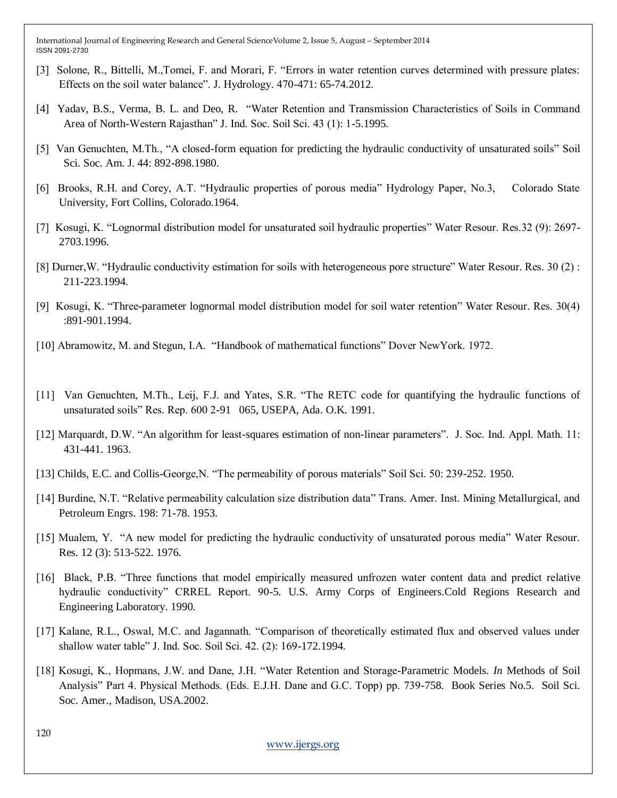- [3] Solone, R., Bittelli, M.,Tomei, F. and Morari, F. "Errors in water retention curves determined with pressure plates: Effects on the soil water balance". J. Hydrology. 470-471: 65-74.2012.
- [4] Yadav, B.S., Verma, B. L. and Deo, R. "Water Retention and Transmission Characteristics of Soils in Command Area of North-Western Rajasthan" J. Ind. Soc. Soil Sci. 43 (1): 1-5.1995.
- [5] Van Genuchten, M.Th., "A closed-form equation for predicting the hydraulic conductivity of unsaturated soils" Soil Sci. Soc. Am. J. 44: 892-898.1980.
- [6] Brooks, R.H. and Corey, A.T. "Hydraulic properties of porous media" Hydrology Paper, No.3, Colorado State University, Fort Collins, Colorado.1964.
- [7] Kosugi, K. "Lognormal distribution model for unsaturated soil hydraulic properties" Water Resour. Res.32 (9): 2697- 2703.1996.
- [8] Durner,W. "Hydraulic conductivity estimation for soils with heterogeneous pore structure" Water Resour. Res. 30 (2) : 211-223.1994.
- [9] Kosugi, K. "Three-parameter lognormal model distribution model for soil water retention" Water Resour. Res. 30(4) :891-901.1994.
- [10] Abramowitz, M. and Stegun, I.A. "Handbook of mathematical functions" Dover NewYork. 1972.
- [11] Van Genuchten, M.Th., Leij, F.J. and Yates, S.R. "The RETC code for quantifying the hydraulic functions of unsaturated soils" Res. Rep. 600 2-91 065, USEPA, Ada. O.K. 1991.
- [12] Marquardt, D.W. "An algorithm for least-squares estimation of non-linear parameters". J. Soc. Ind. Appl. Math. 11: 431-441. 1963.
- [13] Childs, E.C. and Collis-George,N. "The permeability of porous materials" Soil Sci. 50: 239-252. 1950.
- [14] Burdine, N.T. "Relative permeability calculation size distribution data" Trans. Amer. Inst. Mining Metallurgical, and Petroleum Engrs. 198: 71-78. 1953.
- [15] Mualem, Y. "A new model for predicting the hydraulic conductivity of unsaturated porous media" Water Resour. Res. 12 (3): 513-522. 1976.
- [16] Black, P.B. "Three functions that model empirically measured unfrozen water content data and predict relative hydraulic conductivity" CRREL Report. 90-5. U.S. Army Corps of Engineers.Cold Regions Research and Engineering Laboratory. 1990.
- [17] Kalane, R.L., Oswal, M.C. and Jagannath. "Comparison of theoretically estimated flux and observed values under shallow water table" J. Ind. Soc. Soil Sci. 42. (2): 169-172.1994.
- [18] Kosugi, K., Hopmans, J.W. and Dane, J.H. "Water Retention and Storage-Parametric Models. *In* Methods of Soil Analysis" Part 4. Physical Methods. (Eds. E.J.H. Dane and G.C. Topp) pp. 739-758. Book Series No.5. Soil Sci. Soc. Amer., Madison, USA.2002.